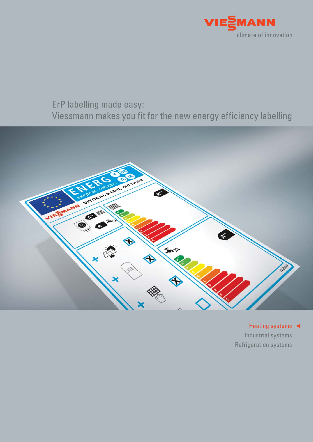

# ErP labelling made easy: Viessmann makes you fit for the new energy efficiency labelling



Heating systems < Industrial systems Refrigeration systems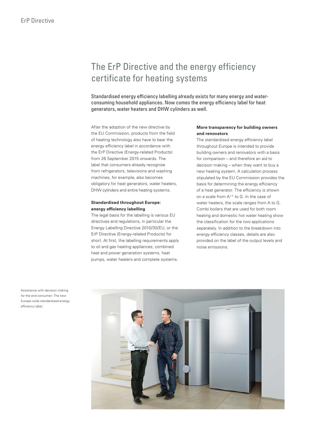# The ErP Directive and the energy efficiency certificate for heating systems

Standardised energy efficiency labelling already exists for many energy and waterconsuming household appliances. Now comes the energy efficiency label for heat generators, water heaters and DHW cylinders as well.

After the adoption of the new directive by the EU Commission, products from the field of heating technology also have to bear the energy efficiency label in accordance with the ErP Directive (Energy-related Products) from 26 September 2015 onwards. The label that consumers already recognise from refrigerators, televisions and washing machines, for example, also becomes obligatory for heat generators, water heaters, DHW cylinders and entire heating systems.

#### **Standardised throughout Europe: energy efficiency labelling**

The legal basis for the labelling is various EU directives and regulations, in particular the Energy Labelling Directive 2010/30/EU, or the ErP Directive (Energy-related Products) for short. At first, the labelling requirements apply to oil and gas heating appliances, combined heat and power generation systems, heat pumps, water heaters and complete systems.

#### **More transparency for building owners and renovators**

The standardised energy efficiency label throughout Europe is intended to provide building owners and renovators with a basis for comparison – and therefore an aid to decision making – when they want to buy a new heating system. A calculation process stipulated by the EU Commission provides the basis for determining the energy efficiency of a heat generator. The efficiency is shown on a scale from A<sup>++</sup> to G. In the case of water heaters, the scale ranges from A to G. Combi boilers that are used for both room heating and domestic hot water heating show the classification for the two applications separately. In addition to the breakdown into energy efficiency classes, details are also provided on the label of the output levels and noise emissions.



Assistance with decision making for the end consumer: The new Europe-wide standardised energy efficiency label.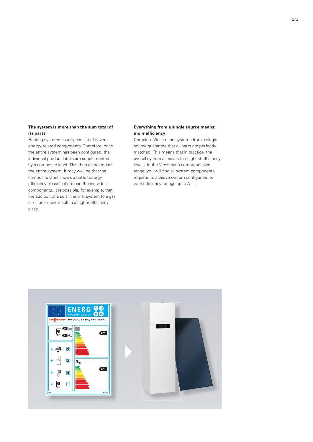#### **The system is more than the sum total of its parts**

Heating systems usually consist of several energy-related components. Therefore, once the entire system has been configured, the individual product labels are supplemented by a composite label. This then characterises the entire system. It may well be that the composite label shows a better energy efficiency classification than the individual components. It is possible, for example, that the addition of a solar thermal system to a gas or oil boiler will result in a higher efficiency class.

#### **Everything from a single source means: more efficiency**

Complete Viessmann systems from a single source guarantee that all parts are perfectly matched. This means that in practice, the overall system achieves the highest efficiency levels. In the Viessmann comprehensive range, you will find all system components required to achieve system configurations with efficiency ratings up to A<sup>+++</sup>.

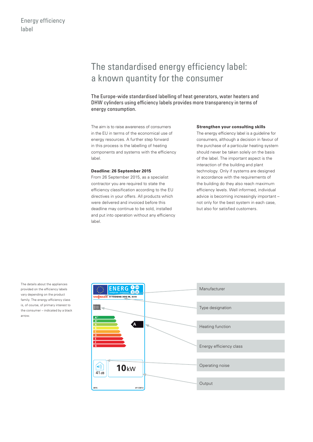# The standardised energy efficiency label: a known quantity for the consumer

The Europe-wide standardised labelling of heat generators, water heaters and DHW cylinders using efficiency labels provides more transparency in terms of energy consumption.

The aim is to raise awareness of consumers in the EU in terms of the economical use of energy resources. A further step forward in this process is the labelling of heating components and systems with the efficiency label.

#### **Deadline: 26 September 2015**

From 26 September 2015, as a specialist contractor you are required to state the efficiency classification according to the EU directives in your offers. All products which were delivered and invoiced before this deadline may continue to be sold, installed and put into operation without any efficiency label.

#### **Strengthen your consulting skills**

The energy efficiency label is a guideline for consumers, although a decision in favour of the purchase of a particular heating system should never be taken solely on the basis of the label. The important aspect is the interaction of the building and plant technology. Only if systems are designed in accordance with the requirements of the building do they also reach maximum efficiency levels. Well informed, individual advice is becoming increasingly important – not only for the best system in each case, but also for satisfied customers.

The details about the appliances provided on the efficiency labels vary depending on the product family. The energy efficiency class is, of course, of primary interest to the consumer – indicated by a black arrow.

| $\bullet$<br>ENERG<br>E IA<br>енергия - ενέργεια      | Manufacturer            |
|-------------------------------------------------------|-------------------------|
| VIEZMANN VITODENS 300-W, B3HB                         |                         |
| <b>TIME</b>                                           | Type designation        |
| $A^{**}$                                              |                         |
| $A^*$<br>$\overline{A}$<br><b>B</b><br>$\overline{c}$ | Heating function        |
| $\overline{D}$<br><b>E</b>                            |                         |
| F<br>$-$ G                                            | Energy efficiency class |
|                                                       |                         |
| 10kW<br>$\left( 0 \right)$                            | Operating noise         |
| 41dB                                                  |                         |
| 2015<br>811/2013                                      | Output                  |
|                                                       |                         |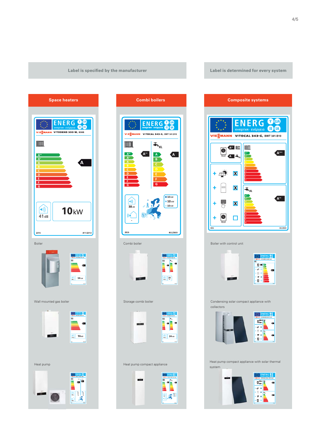





#### Boiler with control unit





Condensing solar compact appliance with collectors





Heat pump compact appliance with solar thermal system

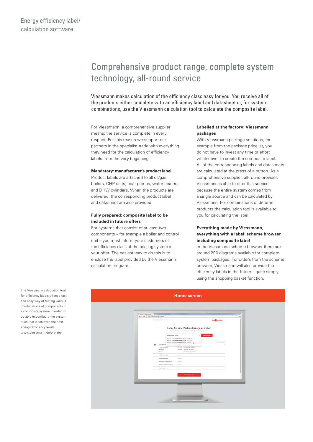# Comprehensive product range, complete system technology, all-round service

Viessmann makes calculation of the efficiency class easy for you. You receive all of the products either complete with an efficiency label and datasheet or, for system combinations, use the Viessmann calculation tool to calculate the composite label.

For Viessmann, a comprehensive supplier means: the service is complete in every respect. For this reason we support our partners in the specialist trade with everything they need for the calculation of efficiency labels from the very beginning.

#### **Mandatory: manufacturer's product label**

Product labels are attached to all oil/gas boilers, CHP units, heat pumps, water heaters and DHW cylinders. When the products are delivered, the corresponding product label and datasheet are also provided.

#### **Fully prepared: composite label to be included in future offers**

For systems that consist of at least two components – for example a boiler and control unit – you must inform your customers of the efficiency class of the heating system in your offer. The easiest way to do this is to enclose the label provided by the Viessmann calculation program.

#### **Labelled at the factory: Viessmann packages**

With Viessmann package solutions, for example from the package pricelist, you do not have to invest any time or effort whatsoever to create the composite label. All of the corresponding labels and datasheets are calculated at the press of a button. As a comprehensive supplier, all-round provider, Viessmann is able to offer this service because the entire system comes from a single source and can be calculated by Viessmann. For combinations of different products the calculation tool is available to you for calculating the label.

#### **Everything made by Viessmann, everything with a label: scheme browser including composite label**

In the Viessmann scheme browser there are around 290 diagrams available for complete system packages. For orders from the scheme browser, Viessmann will also provide the efficiency labels in the future – quite simply using the shopping basket function.



#### **Home screen**

The Viessmann calculation tool for efficiency labels offers a fast and easy way of testing various combinations of components in a composite system in order to be able to configure the system such that it achieves the best energy efficiency levels:

www.viessmann.de/erplabel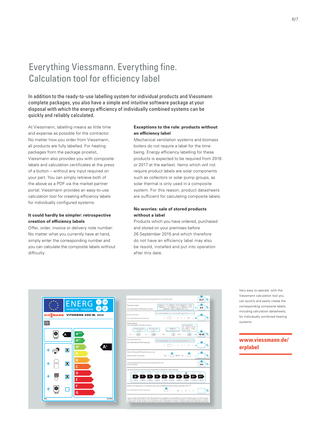# Everything Viessmann. Everything fine. Calculation tool for efficiency label

In addition to the ready-to-use labelling system for individual products and Viessmann complete packages, you also have a simple and intuitive software package at your disposal with which the energy efficiency of individually combined systems can be quickly and reliably calculated.

At Viessmann, labelling means as little time and expense as possible for the contractor. No matter how you order from Viessmann, all products are fully labelled. For heating packages from the package pricelist, Viessmann also provides you with composite labels and calculation certificates at the press of a button – without any input required on your part. You can simply retrieve both of the above as a PDF via the market partner portal. Viessmann provides an easy-to-use calculation tool for creating efficiency labels for individually configured systems.

#### **It could hardly be simpler: retrospective creation of efficiency labels**

Offer, order, invoice or delivery note number: No matter what you currently have at hand, simply enter the corresponding number and you can calculate the composite labels without difficulty.

#### **Exceptions to the rule: products without an efficiency label**

Mechanical ventilation systems and biomass boilers do not require a label for the time being. Energy efficiency labelling for these products is expected to be required from 2016 or 2017 at the earliest. Items which will not require product labels are solar components such as collectors or solar pump groups, as solar thermal is only used in a composite system. For this reason, product datasheets are sufficient for calculating composite labels.

#### **No worries: sale of stored products without a label**

Products which you have ordered, purchased and stored on your premises before 26 September 2015 and which therefore do not have an efficiency label may also be resold, installed and put into operation after this date.





Very easy to operate: with the Viessmann calculation tool you can quickly and easily create the corresponding composite labels, including calculation datasheets. for individually combined heating systems.

### **www.viessmann.de/ erplabel**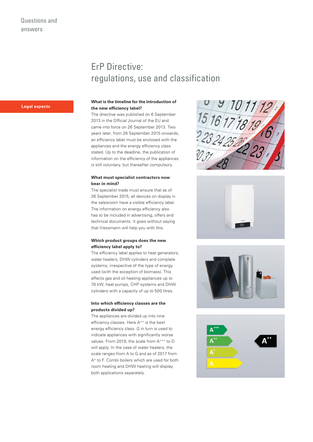### ErP Directive: regulations, use and classification

#### **What is the timeline for the introduction of the new efficiency label?**

The directive was published on 6 September 2013 in the Official Journal of the EU and came into force on 26 September 2013. Two years later, from 26 September 2015 onwards, an efficiency label must be enclosed with the appliances and the energy efficiency class stated. Up to the deadline, the publication of information on the efficiency of the appliances is still voluntary, but thereafter compulsory.

#### **What must specialist contractors now bear in mind?**

The specialist trade must ensure that as of 26 September 2015, all devices on display in the salesroom have a visible efficiency label. The information on energy efficiency also has to be included in advertising, offers and technical documents. It goes without saying that Viessmann will help you with this.

#### **Which product groups does the new efficiency label apply to?**

The efficiency label applies to heat generators, water heaters, DHW cylinders and complete systems, irrespective of the type of energy used (with the exception of biomass). This affects gas and oil heating appliances up to 70 kW, heat pumps, CHP systems and DHW cylinders with a capacity of up to 500 litres.

#### **Into which efficiency classes are the products divided up?**

The appliances are divided up into nine efficiency classes. Here A<sup>++</sup> is the best energy efficiency class. G in turn is used to indicate appliances with significantly worse values. From 2019, the scale from A<sup>+++</sup> to D will apply. In the case of water heaters, the scale ranges from A to G and as of 2017 from A+ to F. Combi boilers which are used for both room heating and DHW heating will display both applications separately.









### **Legal aspects**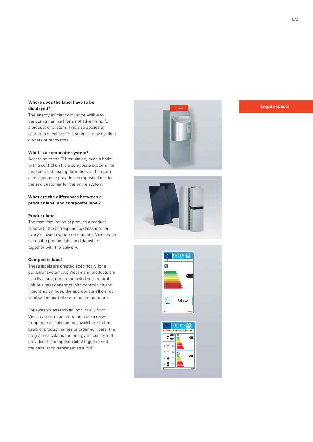#### **Where does the label have to be displayed?**

The energy efficiency must be visible to the consumer in all forms of advertising for a product or system. This also applies of course to specific offers submitted by building owners or renovators.

#### **What is a composite system?**

According to the EU regulation, even a boiler with a control unit is a composite system. For the specialist heating firm there is therefore an obligation to provide a composite label for the end customer for the entire system.

**What are the differences between a product label and composite label?**

#### **Product label**

The manufacturer must produce a product label with the corresponding datasheet for every relevant system component. Viessmann sends the product label and datasheet together with the delivery.

#### **Composite label**

These labels are created specifically for a particular system. As Viessmann products are usually a heat generator including a control unit or a heat generator with control unit and integrated cylinder, the appropriate efficiency label will be part of our offers in the future.

For systems assembled individually from Viessmann components there is an easyto-operate calculation tool available. On the basis of product names or order numbers, the program calculates the energy efficiency and provides the composite label together with the calculation datasheet as a PDF.

**Legal aspects**





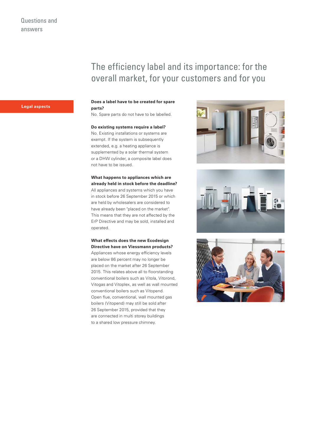## The efficiency label and its importance: for the overall market, for your customers and for you

### **Legal aspects**

#### **Does a label have to be created for spare parts?**

No. Spare parts do not have to be labelled.

#### **Do existing systems require a label?**

No. Existing installations or systems are exempt. If the system is subsequently extended, e.g. a heating appliance is supplemented by a solar thermal system or a DHW cylinder, a composite label does not have to be issued.

### **What happens to appliances which are already held in stock before the deadline?**

All appliances and systems which you have in stock before 26 September 2015 or which are held by wholesalers are considered to have already been "placed on the market". This means that they are not affected by the ErP Directive and may be sold, installed and operated.

### **What effects does the new Ecodesign**

**Directive have on Viessmann products?** Appliances whose energy efficiency levels are below 86 percent may no longer be placed on the market after 26 September 2015. This relates above all to floorstanding conventional boilers such as Vitola, Vitorond, Vitogas and Vitoplex, as well as wall mounted conventional boilers such as Vitopend. Open flue, conventional, wall mounted gas boilers (Vitopend) may still be sold after 26 September 2015, provided that they are connected in multi storey buildings to a shared low pressure chimney.





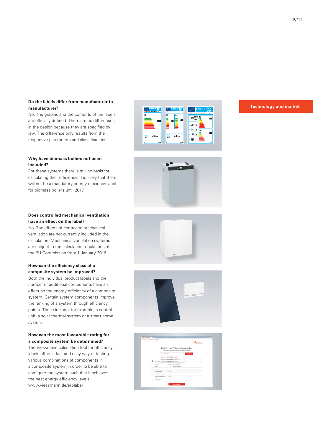#### **Do the labels differ from manufacturer to manufacturer?**

No. The graphic and the contents of the labels are officially defined. There are no differences in the design because they are specified by law. The difference only results from the respective parameters and classifications.

#### **Why have biomass boilers not been included?**

For these systems there is still no basis for calculating their efficiency. It is likely that there will not be a mandatory energy efficiency label for biomass boilers until 2017.

#### **Does controlled mechanical ventilation have an effect on the label?**

No. The effects of controlled mechanical ventilation are not currently included in the calculation. Mechanical ventilation systems are subject to the calculation regulations of the EU Commission from 1 January 2016.

#### **How can the efficiency class of a composite system be improved?**

Both the individual product labels and the number of additional components have an effect on the energy efficiency of a composite system. Certain system components improve the ranking of a system through efficiency points. These include, for example, a control unit, a solar thermal system or a smart home system.

#### **How can the most favourable rating for a composite system be determined?**

The Viessmann calculation tool for efficiency labels offers a fast and easy way of testing various combinations of components in a composite system in order to be able to configure the system such that it achieves the best energy efficiency levels: www.viessmann.de/erplabel









| Label für eine Verbundanlage erstellen<br>trought to be become transportant ; and to be recognizing<br>mount back that of<br><b>Househour</b><br>٠<br>SHEVEL-Tool Wagel-Block 12,3-at 10:02, th-<br>-----<br>SHOTCLING WANNERS MANY MICE IN-<br>and the Company<br>SIDDEPAND PROMOted \$3.00 (FOC III) \$1                                                                                                                                                                                                         |  |
|--------------------------------------------------------------------------------------------------------------------------------------------------------------------------------------------------------------------------------------------------------------------------------------------------------------------------------------------------------------------------------------------------------------------------------------------------------------------------------------------------------------------|--|
|                                                                                                                                                                                                                                                                                                                                                                                                                                                                                                                    |  |
|                                                                                                                                                                                                                                                                                                                                                                                                                                                                                                                    |  |
|                                                                                                                                                                                                                                                                                                                                                                                                                                                                                                                    |  |
| $\sim$<br><b>Range Minuted</b><br>DISTANTING WANNERS REAL STATE IN                                                                                                                                                                                                                                                                                                                                                                                                                                                 |  |
| œ<br>Widow - Massed 2014 New<br>1. Silk machiners                                                                                                                                                                                                                                                                                                                                                                                                                                                                  |  |
| Publish, "Horsey Ind. stund.<br>Inpanz                                                                                                                                                                                                                                                                                                                                                                                                                                                                             |  |
| <b>Booming Association</b><br><b>SALE</b>                                                                                                                                                                                                                                                                                                                                                                                                                                                                          |  |
| 1 Newporter<br>-                                                                                                                                                                                                                                                                                                                                                                                                                                                                                                   |  |
| <b>Superintend</b><br>-                                                                                                                                                                                                                                                                                                                                                                                                                                                                                            |  |
| $\sim$<br><b>Hollywood Schemanns</b><br>$\frac{1}{2} \left( \frac{1}{2} \right) \left( \frac{1}{2} \right) \left( \frac{1}{2} \right) \left( \frac{1}{2} \right) \left( \frac{1}{2} \right) \left( \frac{1}{2} \right) \left( \frac{1}{2} \right) \left( \frac{1}{2} \right) \left( \frac{1}{2} \right) \left( \frac{1}{2} \right) \left( \frac{1}{2} \right) \left( \frac{1}{2} \right) \left( \frac{1}{2} \right) \left( \frac{1}{2} \right) \left( \frac{1}{2} \right) \left( \frac{1}{2} \right) \left( \frac$ |  |
| $\sim$<br>low an issues cannot<br>$\frac{1}{2} \left( \frac{1}{2} \right) \left( \frac{1}{2} \right) \left( \frac{1}{2} \right) \left( \frac{1}{2} \right) \left( \frac{1}{2} \right) \left( \frac{1}{2} \right) \left( \frac{1}{2} \right) \left( \frac{1}{2} \right) \left( \frac{1}{2} \right) \left( \frac{1}{2} \right) \left( \frac{1}{2} \right) \left( \frac{1}{2} \right) \left( \frac{1}{2} \right) \left( \frac{1}{2} \right) \left( \frac{1}{2} \right) \left( \frac{1}{2} \right) \left( \frac$       |  |
|                                                                                                                                                                                                                                                                                                                                                                                                                                                                                                                    |  |
| kupangaransa<br>spinster,<br>-                                                                                                                                                                                                                                                                                                                                                                                                                                                                                     |  |

#### **Technology and market**